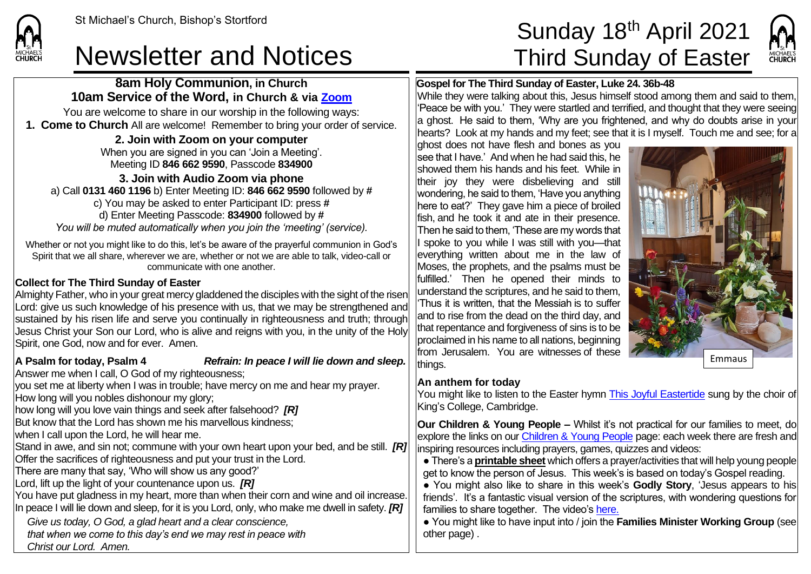## Newsletter and Notices Third Sunday of Easter

**8am Holy Communion, in Church 10am Service of the Word, in Church & via [Zoom](https://zoom.us/)** You are welcome to share in our worship in the following ways: **1. Come to Church** All are welcome! Remember to bring your order of service. **2. Join with Zoom on your computer** When you are signed in you can 'Join a Meeting'. Meeting ID **846 662 9590**, Passcode **834900 3. Join with Audio Zoom via phone**  a) Call **0131 460 1196** b) Enter Meeting ID: **846 662 9590** followed by **#** c) You may be asked to enter Participant ID: press **#** d) Enter Meeting Passcode: **834900** followed by **#**

*You will be muted automatically when you join the 'meeting' (service).*

Whether or not you might like to do this, let's be aware of the prayerful communion in God's Spirit that we all share, wherever we are, whether or not we are able to talk, video-call or communicate with one another.

#### **Collect for The Third Sunday of Easter**

Almighty Father, who in your great mercy gladdened the disciples with the sight of the risen Lord: give us such knowledge of his presence with us, that we may be strengthened and sustained by his risen life and serve you continually in righteousness and truth; through Jesus Christ your Son our Lord, who is alive and reigns with you, in the unity of the Holy Spirit, one God, now and for ever. Amen.

#### **A Psalm for today, Psalm 4** *Refrain: In peace I will lie down and sleep.*

Answer me when I call, O God of my righteousness;

you set me at liberty when I was in trouble; have mercy on me and hear my prayer. How long will you nobles dishonour my glory;

how long will you love vain things and seek after falsehood? *[R]*

But know that the Lord has shown me his marvellous kindness;

when I call upon the Lord, he will hear me.

Stand in awe, and sin not; commune with your own heart upon your bed, and be still. *[R]* Offer the sacrifices of righteousness and put your trust in the Lord.

There are many that say, 'Who will show us any good?'

Lord, lift up the light of your countenance upon us. *[R]*

You have put gladness in my heart, more than when their corn and wine and oil increase. In peace I will lie down and sleep, for it is you Lord, only, who make me dwell in safety. *[R]*

*Give us today, O God, a glad heart and a clear conscience,*

*that when we come to this day's end we may rest in peace with Christ our Lord. Amen.*

## St Michael's Church, Bishop's Stortford  $\textsf{Sunday 18}^{\textsf{th}}$  April 2021



#### **Gospel for The Third Sunday of Easter, Luke 24. 36b-48**

While they were talking about this, Jesus himself stood among them and said to them, 'Peace be with you.' They were startled and terrified, and thought that they were seeing a ghost. He said to them, 'Why are you frightened, and why do doubts arise in your hearts? Look at my hands and my feet; see that it is I myself. Touch me and see; for a

ghost does not have flesh and bones as you see that I have.' And when he had said this, he showed them his hands and his feet. While in their joy they were disbelieving and still wondering, he said to them, 'Have you anything here to eat?' They gave him a piece of broiled fish, and he took it and ate in their presence. Then he said to them, 'These are my words that I spoke to you while I was still with you—that everything written about me in the law of Moses, the prophets, and the psalms must be fulfilled.' Then he opened their minds to understand the scriptures, and he said to them, 'Thus it is written, that the Messiah is to suffer and to rise from the dead on the third day, and that repentance and forgiveness of sins is to be proclaimed in his name to all nations, beginning from Jerusalem. You are witnesses of these thinas.



#### **An anthem for today**

You might like to listen to the Easter hymn [This Joyful Eastertide](https://www.youtube.com/watch?v=5tipsbcfuB4) sung by the choir of King's College, Cambridge.

**Our Children & Young People –** Whilst it's not practical for our families to meet, do explore the links on ou[r Children & Young People](https://saintmichaelweb.org.uk/Groups/310496/Children_and_Young.aspx) page: each week there are fresh and inspiring resources including prayers, games, quizzes and videos:

● There's a **[printable sheet](https://saintmichaelweb.org.uk/Groups/310496/Children_and_Young.aspx)** which offers a prayer/activities that will help young people get to know the person of Jesus. This week's is based on today's Gospel reading.

● You might also like to share in this week's **Godly Story**, 'Jesus appears to his friends'. It's a fantastic visual version of the scriptures, with wondering questions for families to share together. The video's [here.](https://www.youtube.com/watch?v=EcQ9bbFI2hU)

● You might like to have input into / join the **Families Minister Working Group** (see other page) .